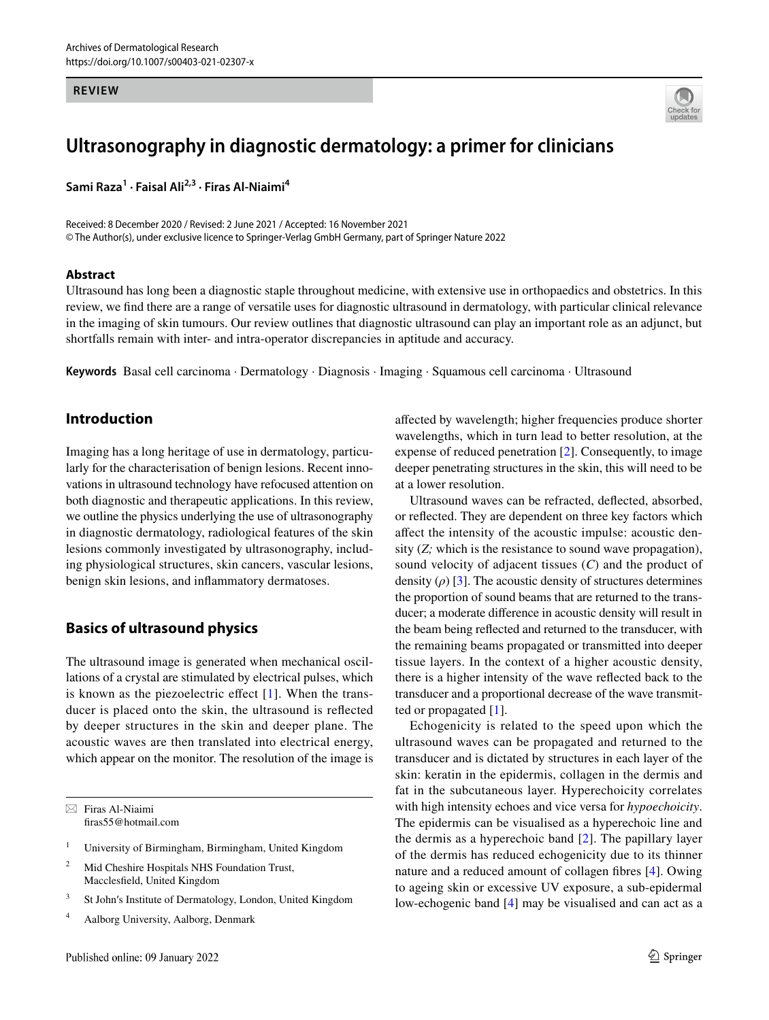#### **REVIEW**



# **Ultrasonography in diagnostic dermatology: a primer for clinicians**

**Sami Raza<sup>1</sup> · Faisal Ali2,3 · Firas Al‑Niaimi4**

Received: 8 December 2020 / Revised: 2 June 2021 / Accepted: 16 November 2021 © The Author(s), under exclusive licence to Springer-Verlag GmbH Germany, part of Springer Nature 2022

## **Abstract**

Ultrasound has long been a diagnostic staple throughout medicine, with extensive use in orthopaedics and obstetrics. In this review, we fnd there are a range of versatile uses for diagnostic ultrasound in dermatology, with particular clinical relevance in the imaging of skin tumours. Our review outlines that diagnostic ultrasound can play an important role as an adjunct, but shortfalls remain with inter- and intra-operator discrepancies in aptitude and accuracy.

**Keywords** Basal cell carcinoma · Dermatology · Diagnosis · Imaging · Squamous cell carcinoma · Ultrasound

# **Introduction**

Imaging has a long heritage of use in dermatology, particularly for the characterisation of benign lesions. Recent innovations in ultrasound technology have refocused attention on both diagnostic and therapeutic applications. In this review, we outline the physics underlying the use of ultrasonography in diagnostic dermatology, radiological features of the skin lesions commonly investigated by ultrasonography, including physiological structures, skin cancers, vascular lesions, benign skin lesions, and infammatory dermatoses.

# **Basics of ultrasound physics**

The ultrasound image is generated when mechanical oscillations of a crystal are stimulated by electrical pulses, which is known as the piezoelectric effect  $[1]$  $[1]$  $[1]$ . When the transducer is placed onto the skin, the ultrasound is refected by deeper structures in the skin and deeper plane. The acoustic waves are then translated into electrical energy, which appear on the monitor. The resolution of the image is

- <sup>1</sup> University of Birmingham, Birmingham, United Kingdom
- <sup>2</sup> Mid Cheshire Hospitals NHS Foundation Trust, Macclesfeld, United Kingdom
- <sup>3</sup> St John's Institute of Dermatology, London, United Kingdom
- <sup>4</sup> Aalborg University, Aalborg, Denmark

afected by wavelength; higher frequencies produce shorter wavelengths, which in turn lead to better resolution, at the expense of reduced penetration [[2\]](#page-4-1). Consequently, to image deeper penetrating structures in the skin, this will need to be at a lower resolution.

Ultrasound waves can be refracted, defected, absorbed, or refected. They are dependent on three key factors which afect the intensity of the acoustic impulse: acoustic density (*Z;* which is the resistance to sound wave propagation), sound velocity of adjacent tissues (*C*) and the product of density  $(\rho)$  [[3\]](#page-4-2). The acoustic density of structures determines the proportion of sound beams that are returned to the transducer; a moderate diference in acoustic density will result in the beam being refected and returned to the transducer, with the remaining beams propagated or transmitted into deeper tissue layers. In the context of a higher acoustic density, there is a higher intensity of the wave refected back to the transducer and a proportional decrease of the wave transmitted or propagated [\[1](#page-4-0)].

Echogenicity is related to the speed upon which the ultrasound waves can be propagated and returned to the transducer and is dictated by structures in each layer of the skin: keratin in the epidermis, collagen in the dermis and fat in the subcutaneous layer. Hyperechoicity correlates with high intensity echoes and vice versa for *hypoechoicity*. The epidermis can be visualised as a hyperechoic line and the dermis as a hyperechoic band [\[2](#page-4-1)]. The papillary layer of the dermis has reduced echogenicity due to its thinner nature and a reduced amount of collagen fbres [\[4](#page-4-3)]. Owing to ageing skin or excessive UV exposure, a sub-epidermal low-echogenic band [\[4](#page-4-3)] may be visualised and can act as a

 $\boxtimes$  Firas Al-Niaimi fras55@hotmail.com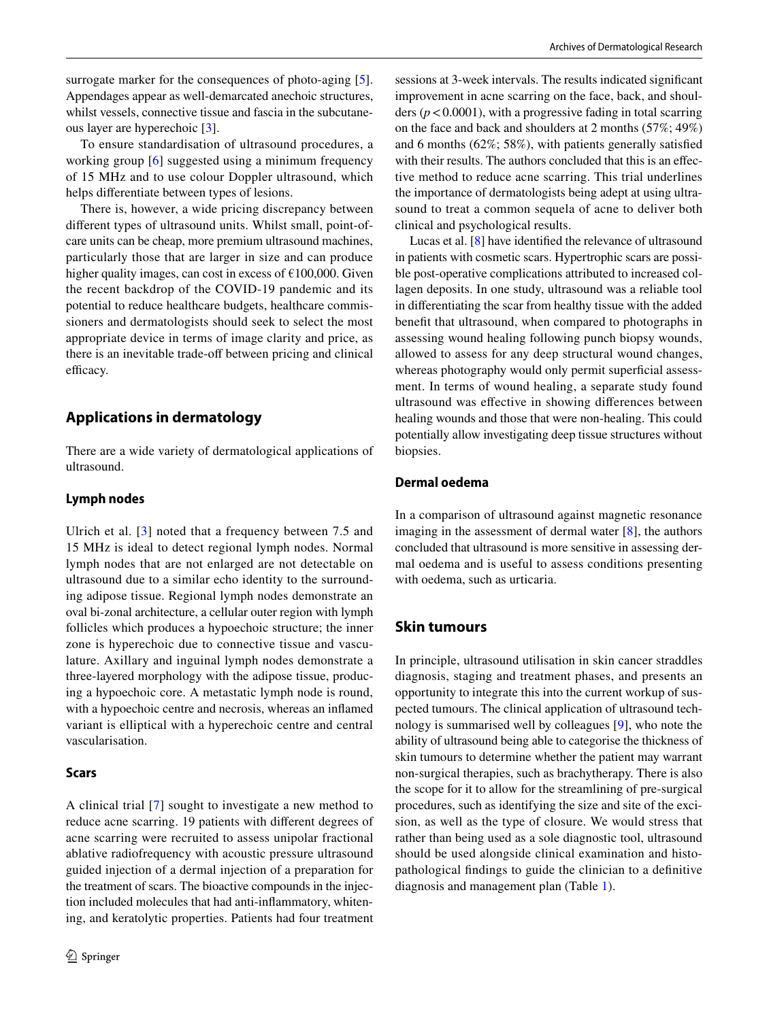surrogate marker for the consequences of photo-aging [\[5](#page-4-4)]. Appendages appear as well-demarcated anechoic structures, whilst vessels, connective tissue and fascia in the subcutaneous layer are hyperechoic [\[3](#page-4-2)].

To ensure standardisation of ultrasound procedures, a working group [\[6](#page-4-5)] suggested using a minimum frequency of 15 MHz and to use colour Doppler ultrasound, which helps diferentiate between types of lesions.

There is, however, a wide pricing discrepancy between diferent types of ultrasound units. Whilst small, point-ofcare units can be cheap, more premium ultrasound machines, particularly those that are larger in size and can produce higher quality images, can cost in excess of  $\epsilon$ 100,000. Given the recent backdrop of the COVID-19 pandemic and its potential to reduce healthcare budgets, healthcare commissioners and dermatologists should seek to select the most appropriate device in terms of image clarity and price, as there is an inevitable trade-off between pricing and clinical efficacy.

# **Applications in dermatology**

There are a wide variety of dermatological applications of ultrasound.

# **Lymph nodes**

Ulrich et al. [\[3](#page-4-2)] noted that a frequency between 7.5 and 15 MHz is ideal to detect regional lymph nodes. Normal lymph nodes that are not enlarged are not detectable on ultrasound due to a similar echo identity to the surrounding adipose tissue. Regional lymph nodes demonstrate an oval bi-zonal architecture, a cellular outer region with lymph follicles which produces a hypoechoic structure; the inner zone is hyperechoic due to connective tissue and vasculature. Axillary and inguinal lymph nodes demonstrate a three-layered morphology with the adipose tissue, producing a hypoechoic core. A metastatic lymph node is round, with a hypoechoic centre and necrosis, whereas an infamed variant is elliptical with a hyperechoic centre and central vascularisation.

## **Scars**

A clinical trial [[7\]](#page-4-6) sought to investigate a new method to reduce acne scarring. 19 patients with diferent degrees of acne scarring were recruited to assess unipolar fractional ablative radiofrequency with acoustic pressure ultrasound guided injection of a dermal injection of a preparation for the treatment of scars. The bioactive compounds in the injection included molecules that had anti-infammatory, whitening, and keratolytic properties. Patients had four treatment sessions at 3-week intervals. The results indicated signifcant improvement in acne scarring on the face, back, and shoulders  $(p < 0.0001)$ , with a progressive fading in total scarring on the face and back and shoulders at 2 months (57%; 49%) and 6 months (62%; 58%), with patients generally satisfed with their results. The authors concluded that this is an efective method to reduce acne scarring. This trial underlines the importance of dermatologists being adept at using ultrasound to treat a common sequela of acne to deliver both clinical and psychological results.

Lucas et al. [[8\]](#page-4-7) have identifed the relevance of ultrasound in patients with cosmetic scars. Hypertrophic scars are possible post-operative complications attributed to increased collagen deposits. In one study, ultrasound was a reliable tool in diferentiating the scar from healthy tissue with the added beneft that ultrasound, when compared to photographs in assessing wound healing following punch biopsy wounds, allowed to assess for any deep structural wound changes, whereas photography would only permit superficial assessment. In terms of wound healing, a separate study found ultrasound was efective in showing diferences between healing wounds and those that were non-healing. This could potentially allow investigating deep tissue structures without biopsies.

## **Dermal oedema**

In a comparison of ultrasound against magnetic resonance imaging in the assessment of dermal water [[8\]](#page-4-7), the authors concluded that ultrasound is more sensitive in assessing dermal oedema and is useful to assess conditions presenting with oedema, such as urticaria.

# **Skin tumours**

In principle, ultrasound utilisation in skin cancer straddles diagnosis, staging and treatment phases, and presents an opportunity to integrate this into the current workup of suspected tumours. The clinical application of ultrasound technology is summarised well by colleagues [[9\]](#page-4-8), who note the ability of ultrasound being able to categorise the thickness of skin tumours to determine whether the patient may warrant non-surgical therapies, such as brachytherapy. There is also the scope for it to allow for the streamlining of pre-surgical procedures, such as identifying the size and site of the excision, as well as the type of closure. We would stress that rather than being used as a sole diagnostic tool, ultrasound should be used alongside clinical examination and histopathological fndings to guide the clinician to a defnitive diagnosis and management plan (Table [1](#page-2-0)).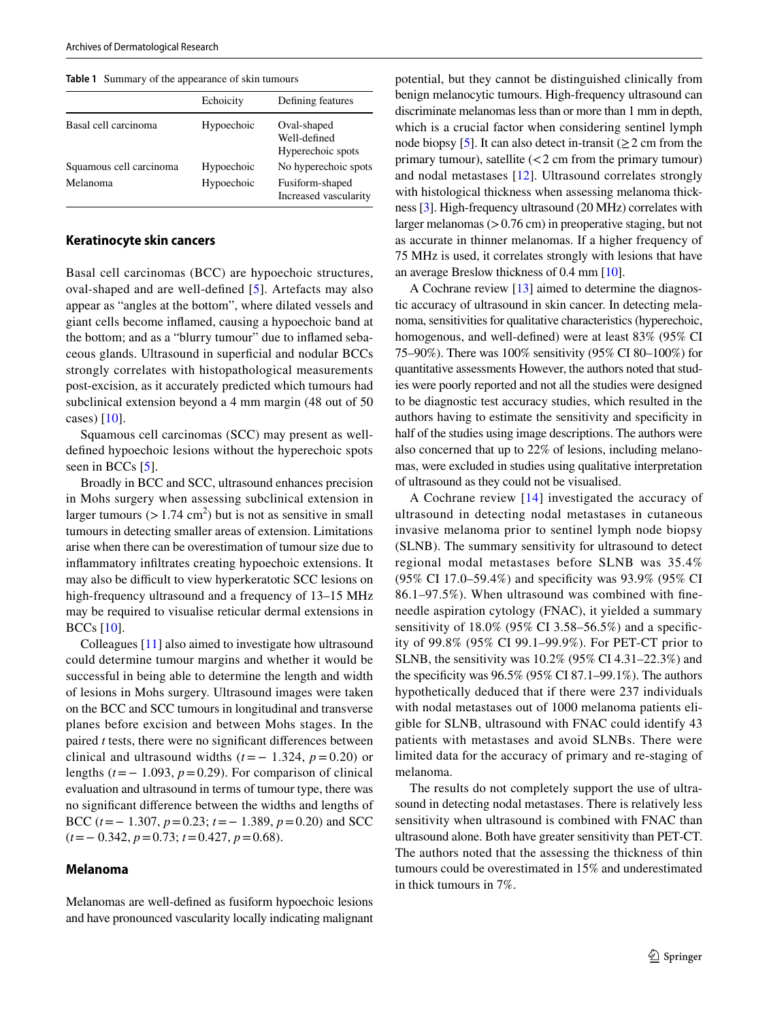<span id="page-2-0"></span>

| <b>Table 1</b> Summary of the appearance of skin tumours |  |
|----------------------------------------------------------|--|
|----------------------------------------------------------|--|

|                                     | Echoicity                | Defining features                                                |
|-------------------------------------|--------------------------|------------------------------------------------------------------|
| Basal cell carcinoma                | Hypoechoic               | Oval-shaped<br>Well-defined<br>Hyperechoic spots                 |
| Squamous cell carcinoma<br>Melanoma | Hypoechoic<br>Hypoechoic | No hyperechoic spots<br>Fusiform-shaped<br>Increased vascularity |

#### **Keratinocyte skin cancers**

Basal cell carcinomas (BCC) are hypoechoic structures, oval-shaped and are well-defned [\[5](#page-4-4)]. Artefacts may also appear as "angles at the bottom", where dilated vessels and giant cells become infamed, causing a hypoechoic band at the bottom; and as a "blurry tumour" due to infamed sebaceous glands. Ultrasound in superfcial and nodular BCCs strongly correlates with histopathological measurements post-excision, as it accurately predicted which tumours had subclinical extension beyond a 4 mm margin (48 out of 50 cases)  $[10]$  $[10]$ .

Squamous cell carcinomas (SCC) may present as welldefned hypoechoic lesions without the hyperechoic spots seen in BCCs [[5\]](#page-4-4).

Broadly in BCC and SCC, ultrasound enhances precision in Mohs surgery when assessing subclinical extension in larger tumours ( $> 1.74$  cm<sup>2</sup>) but is not as sensitive in small tumours in detecting smaller areas of extension. Limitations arise when there can be overestimation of tumour size due to infammatory infltrates creating hypoechoic extensions. It may also be difficult to view hyperkeratotic SCC lesions on high-frequency ultrasound and a frequency of 13–15 MHz may be required to visualise reticular dermal extensions in BCCs [[10](#page-4-9)].

Colleagues [\[11](#page-4-10)] also aimed to investigate how ultrasound could determine tumour margins and whether it would be successful in being able to determine the length and width of lesions in Mohs surgery. Ultrasound images were taken on the BCC and SCC tumours in longitudinal and transverse planes before excision and between Mohs stages. In the paired *t* tests, there were no signifcant diferences between clinical and ultrasound widths  $(t=-1.324, p=0.20)$  or lengths (*t*=− 1.093, *p*=0.29). For comparison of clinical evaluation and ultrasound in terms of tumour type, there was no signifcant diference between the widths and lengths of BCC (*t*=− 1.307, *p*=0.23; *t*=− 1.389, *p*=0.20) and SCC (*t*=− 0.342, *p*=0.73; *t*=0.427, *p*=0.68).

#### **Melanoma**

Melanomas are well-defned as fusiform hypoechoic lesions and have pronounced vascularity locally indicating malignant potential, but they cannot be distinguished clinically from benign melanocytic tumours. High-frequency ultrasound can discriminate melanomas less than or more than 1 mm in depth, which is a crucial factor when considering sentinel lymph node biopsy [\[5](#page-4-4)]. It can also detect in-transit ( $\geq$  2 cm from the primary tumour), satellite  $\left($  < 2 cm from the primary tumour) and nodal metastases [\[12](#page-4-11)]. Ultrasound correlates strongly with histological thickness when assessing melanoma thickness [\[3\]](#page-4-2). High-frequency ultrasound (20 MHz) correlates with larger melanomas  $(>0.76$  cm) in preoperative staging, but not as accurate in thinner melanomas. If a higher frequency of 75 MHz is used, it correlates strongly with lesions that have an average Breslow thickness of 0.4 mm [[10\]](#page-4-9).

A Cochrane review [\[13\]](#page-4-12) aimed to determine the diagnostic accuracy of ultrasound in skin cancer. In detecting melanoma, sensitivities for qualitative characteristics (hyperechoic, homogenous, and well-defned) were at least 83% (95% CI 75–90%). There was 100% sensitivity (95% CI 80–100%) for quantitative assessments However, the authors noted that studies were poorly reported and not all the studies were designed to be diagnostic test accuracy studies, which resulted in the authors having to estimate the sensitivity and specifcity in half of the studies using image descriptions. The authors were also concerned that up to 22% of lesions, including melanomas, were excluded in studies using qualitative interpretation of ultrasound as they could not be visualised.

A Cochrane review [[14\]](#page-5-0) investigated the accuracy of ultrasound in detecting nodal metastases in cutaneous invasive melanoma prior to sentinel lymph node biopsy (SLNB). The summary sensitivity for ultrasound to detect regional modal metastases before SLNB was 35.4% (95% CI 17.0–59.4%) and specifcity was 93.9% (95% CI 86.1–97.5%). When ultrasound was combined with fneneedle aspiration cytology (FNAC), it yielded a summary sensitivity of  $18.0\%$  (95% CI 3.58–56.5%) and a specificity of 99.8% (95% CI 99.1–99.9%). For PET-CT prior to SLNB, the sensitivity was 10.2% (95% CI 4.31–22.3%) and the specifcity was 96.5% (95% CI 87.1–99.1%). The authors hypothetically deduced that if there were 237 individuals with nodal metastases out of 1000 melanoma patients eligible for SLNB, ultrasound with FNAC could identify 43 patients with metastases and avoid SLNBs. There were limited data for the accuracy of primary and re-staging of melanoma.

The results do not completely support the use of ultrasound in detecting nodal metastases. There is relatively less sensitivity when ultrasound is combined with FNAC than ultrasound alone. Both have greater sensitivity than PET-CT. The authors noted that the assessing the thickness of thin tumours could be overestimated in 15% and underestimated in thick tumours in 7%.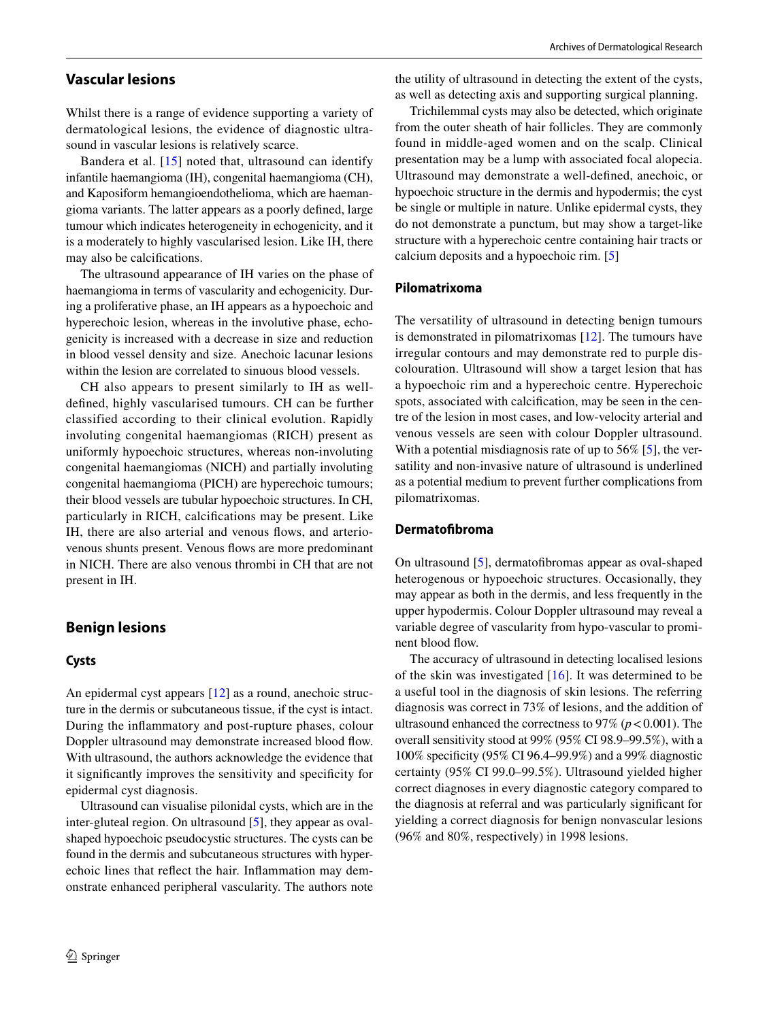Whilst there is a range of evidence supporting a variety of dermatological lesions, the evidence of diagnostic ultrasound in vascular lesions is relatively scarce.

Bandera et al. [[15\]](#page-5-1) noted that, ultrasound can identify infantile haemangioma (IH), congenital haemangioma (CH), and Kaposiform hemangioendothelioma, which are haemangioma variants. The latter appears as a poorly defned, large tumour which indicates heterogeneity in echogenicity, and it is a moderately to highly vascularised lesion. Like IH, there may also be calcifcations.

The ultrasound appearance of IH varies on the phase of haemangioma in terms of vascularity and echogenicity. During a proliferative phase, an IH appears as a hypoechoic and hyperechoic lesion, whereas in the involutive phase, echogenicity is increased with a decrease in size and reduction in blood vessel density and size. Anechoic lacunar lesions within the lesion are correlated to sinuous blood vessels.

CH also appears to present similarly to IH as welldefned, highly vascularised tumours. CH can be further classified according to their clinical evolution. Rapidly involuting congenital haemangiomas (RICH) present as uniformly hypoechoic structures, whereas non-involuting congenital haemangiomas (NICH) and partially involuting congenital haemangioma (PICH) are hyperechoic tumours; their blood vessels are tubular hypoechoic structures. In CH, particularly in RICH, calcifcations may be present. Like IH, there are also arterial and venous flows, and arteriovenous shunts present. Venous flows are more predominant in NICH. There are also venous thrombi in CH that are not present in IH.

# **Benign lesions**

# **Cysts**

An epidermal cyst appears [[12\]](#page-4-11) as a round, anechoic structure in the dermis or subcutaneous tissue, if the cyst is intact. During the infammatory and post-rupture phases, colour Doppler ultrasound may demonstrate increased blood flow. With ultrasound, the authors acknowledge the evidence that it signifcantly improves the sensitivity and specifcity for epidermal cyst diagnosis.

Ultrasound can visualise pilonidal cysts, which are in the inter-gluteal region. On ultrasound [\[5](#page-4-4)], they appear as ovalshaped hypoechoic pseudocystic structures. The cysts can be found in the dermis and subcutaneous structures with hyperechoic lines that refect the hair. Infammation may demonstrate enhanced peripheral vascularity. The authors note

the utility of ultrasound in detecting the extent of the cysts, as well as detecting axis and supporting surgical planning.

Trichilemmal cysts may also be detected, which originate from the outer sheath of hair follicles. They are commonly found in middle-aged women and on the scalp. Clinical presentation may be a lump with associated focal alopecia. Ultrasound may demonstrate a well-defned, anechoic, or hypoechoic structure in the dermis and hypodermis; the cyst be single or multiple in nature. Unlike epidermal cysts, they do not demonstrate a punctum, but may show a target-like structure with a hyperechoic centre containing hair tracts or calcium deposits and a hypoechoic rim. [\[5](#page-4-4)]

## **Pilomatrixoma**

The versatility of ultrasound in detecting benign tumours is demonstrated in pilomatrixomas [[12\]](#page-4-11). The tumours have irregular contours and may demonstrate red to purple discolouration. Ultrasound will show a target lesion that has a hypoechoic rim and a hyperechoic centre. Hyperechoic spots, associated with calcifcation, may be seen in the centre of the lesion in most cases, and low-velocity arterial and venous vessels are seen with colour Doppler ultrasound. With a potential misdiagnosis rate of up to 56% [[5\]](#page-4-4), the versatility and non-invasive nature of ultrasound is underlined as a potential medium to prevent further complications from pilomatrixomas.

## **Dermatofbroma**

On ultrasound [[5](#page-4-4)], dermatofbromas appear as oval-shaped heterogenous or hypoechoic structures. Occasionally, they may appear as both in the dermis, and less frequently in the upper hypodermis. Colour Doppler ultrasound may reveal a variable degree of vascularity from hypo-vascular to prominent blood flow.

The accuracy of ultrasound in detecting localised lesions of the skin was investigated [\[16\]](#page-5-2). It was determined to be a useful tool in the diagnosis of skin lesions. The referring diagnosis was correct in 73% of lesions, and the addition of ultrasound enhanced the correctness to 97% ( $p < 0.001$ ). The overall sensitivity stood at 99% (95% CI 98.9–99.5%), with a 100% specifcity (95% CI 96.4–99.9%) and a 99% diagnostic certainty (95% CI 99.0–99.5%). Ultrasound yielded higher correct diagnoses in every diagnostic category compared to the diagnosis at referral and was particularly signifcant for yielding a correct diagnosis for benign nonvascular lesions (96% and 80%, respectively) in 1998 lesions.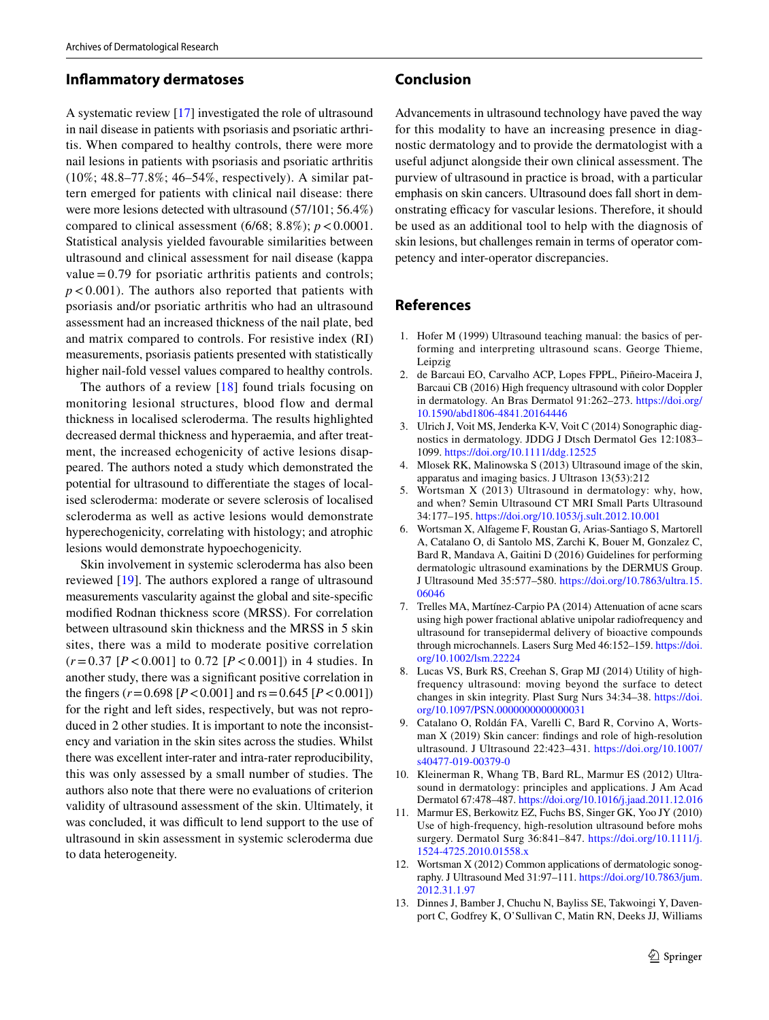# **Infammatory dermatoses**

A systematic review [[17\]](#page-5-3) investigated the role of ultrasound in nail disease in patients with psoriasis and psoriatic arthritis. When compared to healthy controls, there were more nail lesions in patients with psoriasis and psoriatic arthritis (10%; 48.8–77.8%; 46–54%, respectively). A similar pattern emerged for patients with clinical nail disease: there were more lesions detected with ultrasound (57/101; 56.4%) compared to clinical assessment  $(6/68; 8.8\%); p < 0.0001$ . Statistical analysis yielded favourable similarities between ultrasound and clinical assessment for nail disease (kappa value  $=0.79$  for psoriatic arthritis patients and controls; *p* < 0.001). The authors also reported that patients with psoriasis and/or psoriatic arthritis who had an ultrasound assessment had an increased thickness of the nail plate, bed and matrix compared to controls. For resistive index (RI) measurements, psoriasis patients presented with statistically higher nail-fold vessel values compared to healthy controls.

The authors of a review [[18](#page-5-4)] found trials focusing on monitoring lesional structures, blood flow and dermal thickness in localised scleroderma. The results highlighted decreased dermal thickness and hyperaemia, and after treatment, the increased echogenicity of active lesions disappeared. The authors noted a study which demonstrated the potential for ultrasound to diferentiate the stages of localised scleroderma: moderate or severe sclerosis of localised scleroderma as well as active lesions would demonstrate hyperechogenicity, correlating with histology; and atrophic lesions would demonstrate hypoechogenicity.

Skin involvement in systemic scleroderma has also been reviewed [[19](#page-5-5)]. The authors explored a range of ultrasound measurements vascularity against the global and site-specifc modifed Rodnan thickness score (MRSS). For correlation between ultrasound skin thickness and the MRSS in 5 skin sites, there was a mild to moderate positive correlation (*r*=0.37 [*P*<0.001] to 0.72 [*P*<0.001]) in 4 studies. In another study, there was a signifcant positive correlation in the fngers (*r*=0.698 [*P*<0.001] and rs=0.645 [*P*<0.001]) for the right and left sides, respectively, but was not reproduced in 2 other studies. It is important to note the inconsistency and variation in the skin sites across the studies. Whilst there was excellent inter-rater and intra-rater reproducibility, this was only assessed by a small number of studies. The authors also note that there were no evaluations of criterion validity of ultrasound assessment of the skin. Ultimately, it was concluded, it was difficult to lend support to the use of ultrasound in skin assessment in systemic scleroderma due to data heterogeneity.

# **Conclusion**

Advancements in ultrasound technology have paved the way for this modality to have an increasing presence in diagnostic dermatology and to provide the dermatologist with a useful adjunct alongside their own clinical assessment. The purview of ultrasound in practice is broad, with a particular emphasis on skin cancers. Ultrasound does fall short in demonstrating efficacy for vascular lesions. Therefore, it should be used as an additional tool to help with the diagnosis of skin lesions, but challenges remain in terms of operator competency and inter-operator discrepancies.

# **References**

- <span id="page-4-0"></span>1. Hofer M (1999) Ultrasound teaching manual: the basics of performing and interpreting ultrasound scans. George Thieme, Leipzig
- <span id="page-4-1"></span>2. de Barcaui EO, Carvalho ACP, Lopes FPPL, Piñeiro-Maceira J, Barcaui CB (2016) High frequency ultrasound with color Doppler in dermatology. An Bras Dermatol 91:262–273. [https://doi.org/](https://doi.org/10.1590/abd1806-4841.20164446) [10.1590/abd1806-4841.20164446](https://doi.org/10.1590/abd1806-4841.20164446)
- <span id="page-4-2"></span>3. Ulrich J, Voit MS, Jenderka K-V, Voit C (2014) Sonographic diagnostics in dermatology. JDDG J Dtsch Dermatol Ges 12:1083– 1099. <https://doi.org/10.1111/ddg.12525>
- <span id="page-4-3"></span>4. Mlosek RK, Malinowska S (2013) Ultrasound image of the skin, apparatus and imaging basics. J Ultrason 13(53):212
- <span id="page-4-4"></span>5. Wortsman X (2013) Ultrasound in dermatology: why, how, and when? Semin Ultrasound CT MRI Small Parts Ultrasound 34:177–195.<https://doi.org/10.1053/j.sult.2012.10.001>
- <span id="page-4-5"></span>6. Wortsman X, Alfageme F, Roustan G, Arias-Santiago S, Martorell A, Catalano O, di Santolo MS, Zarchi K, Bouer M, Gonzalez C, Bard R, Mandava A, Gaitini D (2016) Guidelines for performing dermatologic ultrasound examinations by the DERMUS Group. J Ultrasound Med 35:577–580. [https://doi.org/10.7863/ultra.15.](https://doi.org/10.7863/ultra.15.06046) [06046](https://doi.org/10.7863/ultra.15.06046)
- <span id="page-4-6"></span>7. Trelles MA, Martínez-Carpio PA (2014) Attenuation of acne scars using high power fractional ablative unipolar radiofrequency and ultrasound for transepidermal delivery of bioactive compounds through microchannels. Lasers Surg Med 46:152–159. [https://doi.](https://doi.org/10.1002/lsm.22224) [org/10.1002/lsm.22224](https://doi.org/10.1002/lsm.22224)
- <span id="page-4-7"></span>8. Lucas VS, Burk RS, Creehan S, Grap MJ (2014) Utility of highfrequency ultrasound: moving beyond the surface to detect changes in skin integrity. Plast Surg Nurs 34:34–38. [https://doi.](https://doi.org/10.1097/PSN.0000000000000031) [org/10.1097/PSN.0000000000000031](https://doi.org/10.1097/PSN.0000000000000031)
- <span id="page-4-8"></span>9. Catalano O, Roldán FA, Varelli C, Bard R, Corvino A, Wortsman X (2019) Skin cancer: fndings and role of high-resolution ultrasound. J Ultrasound 22:423–431. [https://doi.org/10.1007/](https://doi.org/10.1007/s40477-019-00379-0) [s40477-019-00379-0](https://doi.org/10.1007/s40477-019-00379-0)
- <span id="page-4-9"></span>10. Kleinerman R, Whang TB, Bard RL, Marmur ES (2012) Ultrasound in dermatology: principles and applications. J Am Acad Dermatol 67:478–487.<https://doi.org/10.1016/j.jaad.2011.12.016>
- <span id="page-4-10"></span>11. Marmur ES, Berkowitz EZ, Fuchs BS, Singer GK, Yoo JY (2010) Use of high-frequency, high-resolution ultrasound before mohs surgery. Dermatol Surg 36:841–847. [https://doi.org/10.1111/j.](https://doi.org/10.1111/j.1524-4725.2010.01558.x) [1524-4725.2010.01558.x](https://doi.org/10.1111/j.1524-4725.2010.01558.x)
- <span id="page-4-11"></span>12. Wortsman X (2012) Common applications of dermatologic sonography. J Ultrasound Med 31:97–111. [https://doi.org/10.7863/jum.](https://doi.org/10.7863/jum.2012.31.1.97) [2012.31.1.97](https://doi.org/10.7863/jum.2012.31.1.97)
- <span id="page-4-12"></span>13. Dinnes J, Bamber J, Chuchu N, Bayliss SE, Takwoingi Y, Davenport C, Godfrey K, O'Sullivan C, Matin RN, Deeks JJ, Williams